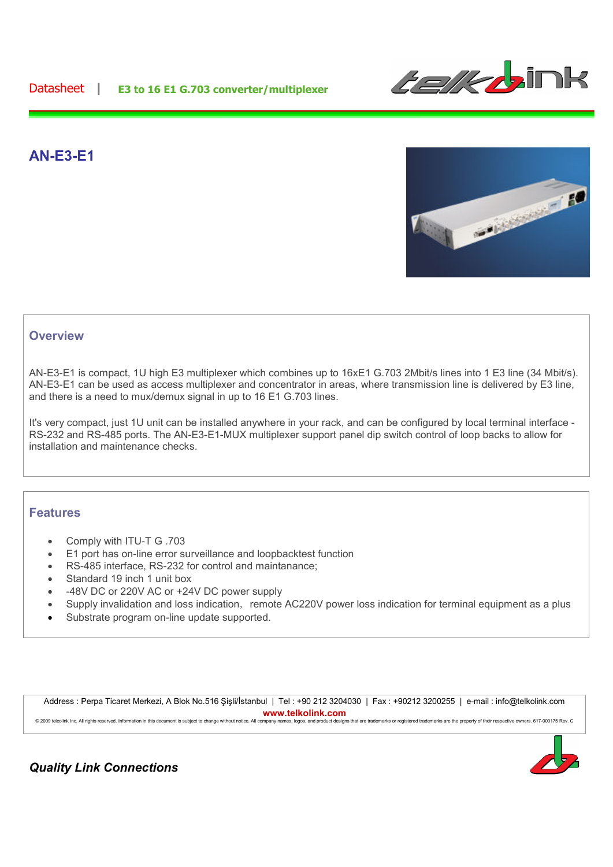

# **AN-E3-E1**



## **Overview**

AN-E3-E1 is compact, 1U high E3 multiplexer which combines up to 16xE1 G.703 2Mbit/s lines into 1 E3 line (34 Mbit/s). AN-E3-E1 can be used as access multiplexer and concentrator in areas, where transmission line is delivered by E3 line, and there is a need to mux/demux signal in up to 16 E1 G.703 lines.

It's very compact, just 1U unit can be installed anywhere in your rack, and can be configured by local terminal interface - RS-232 and RS-485 ports. The AN-E3-E1-MUX multiplexer support panel dip switch control of loop backs to allow for installation and maintenance checks.

### **Features**

- Comply with ITU-T G .703
- E1 port has on-line error surveillance and loopbacktest function
- RS-485 interface, RS-232 for control and maintanance;
- Standard 19 inch 1 unit box
- -48V DC or 220V AC or +24V DC power supply
- Supply invalidation and loss indication, remote AC220V power loss indication for terminal equipment as a plus
- Substrate program on-line update supported.

Address : Perpa Ticaret Merkezi, A Blok No.516 Şişli/İstanbul | Tel : +90 212 3204030 | Fax : +90212 3200255 | e-mail : info@telkolink.com **www.telkolink.com** © 2009 telcolink Inc. All rights reserved. Information in this document is subject to change without notice. All company names, logos, and product designs that are trademarks or registered trademarks are the property of th



*Quality Link Connections*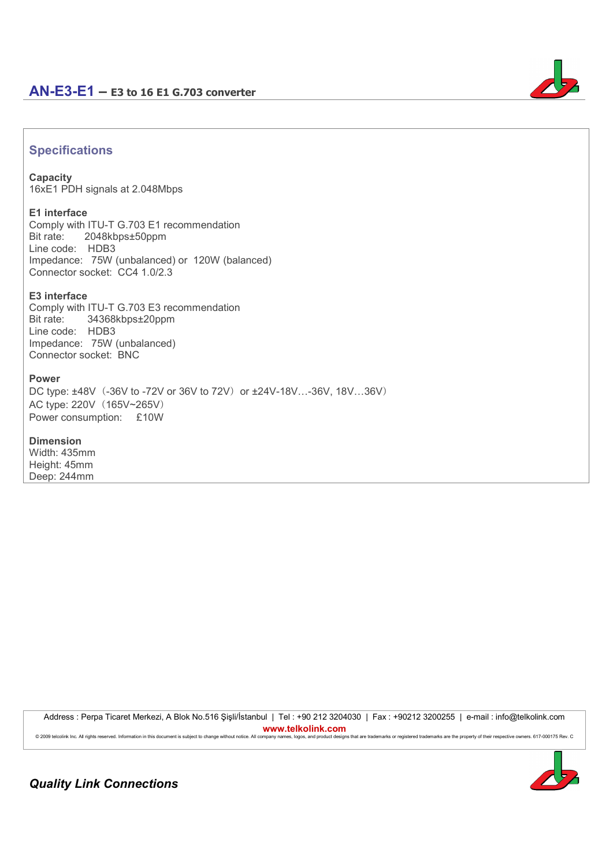

# **Specifications**

### **Capacity**

16xE1 PDH signals at 2.048Mbps

#### **E1 interface**

Comply with ITU-T G.703 E1 recommendation Bit rate:2048kbps±50ppm Line code: HDB3 Impedance: 75W (unbalanced) or 120W (balanced) Connector socket: CC4 1.0/2.3

### **E3 interface**

Comply with ITU-T G.703 E3 recommendation Bit rate:34368kbps±20ppm Line code: HDB3 Impedance: 75W (unbalanced) Connector socket: BNC

#### **Power**

DC type: ±48V (-36V to -72V or 36V to 72V) or ±24V-18V...-36V, 18V...36V) AC type: 220V (165V~265V) Power consumption: £10W

#### **Dimension**

Width: 435mm Height: 45mm Deep: 244mm

> Address : Perpa Ticaret Merkezi, A Blok No.516 Şişli/İstanbul | Tel : +90 212 3204030 | Fax : +90212 3200255 | e-mail : info@telkolink.com **www.telkolink.com**

> © 2009 telcolink Inc. All rights reserved. Information in this document is subject to change without notice. All company names, logos, and product designs that are trademarks or registered trademarks are the property of th



*Quality Link Connections*